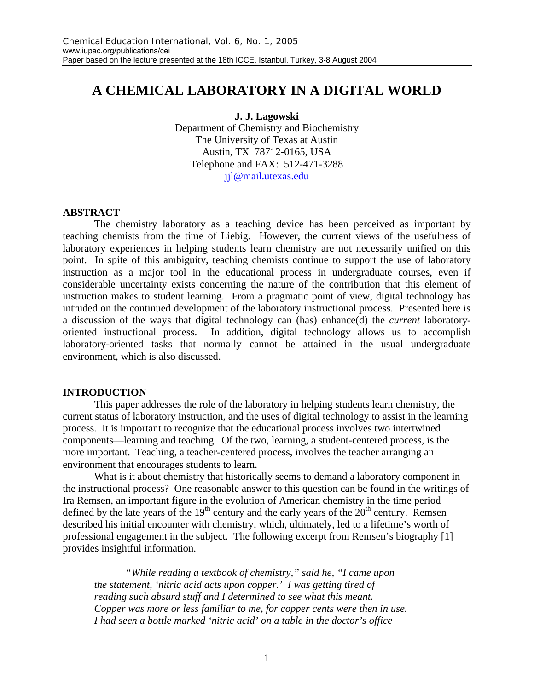# **A CHEMICAL LABORATORY IN A DIGITAL WORLD**

#### **J. J. Lagowski**

Department of Chemistry and Biochemistry The University of Texas at Austin Austin, TX 78712-0165, USA Telephone and FAX: 512-471-3288 jjl@mail.utexas.edu

#### **ABSTRACT**

The chemistry laboratory as a teaching device has been perceived as important by teaching chemists from the time of Liebig. However, the current views of the usefulness of laboratory experiences in helping students learn chemistry are not necessarily unified on this point. In spite of this ambiguity, teaching chemists continue to support the use of laboratory instruction as a major tool in the educational process in undergraduate courses, even if considerable uncertainty exists concerning the nature of the contribution that this element of instruction makes to student learning. From a pragmatic point of view, digital technology has intruded on the continued development of the laboratory instructional process. Presented here is a discussion of the ways that digital technology can (has) enhance(d) the *current* laboratoryoriented instructional process. In addition, digital technology allows us to accomplish laboratory-oriented tasks that normally cannot be attained in the usual undergraduate environment, which is also discussed.

#### **INTRODUCTION**

This paper addresses the role of the laboratory in helping students learn chemistry, the current status of laboratory instruction, and the uses of digital technology to assist in the learning process. It is important to recognize that the educational process involves two intertwined components—learning and teaching. Of the two, learning, a student-centered process, is the more important. Teaching, a teacher-centered process, involves the teacher arranging an environment that encourages students to learn.

What is it about chemistry that historically seems to demand a laboratory component in the instructional process? One reasonable answer to this question can be found in the writings of Ira Remsen, an important figure in the evolution of American chemistry in the time period defined by the late years of the  $19<sup>th</sup>$  century and the early years of the  $20<sup>th</sup>$  century. Remsen described his initial encounter with chemistry, which, ultimately, led to a lifetime's worth of professional engagement in the subject. The following excerpt from Remsen's biography [1] provides insightful information.

*"While reading a textbook of chemistry," said he, "I came upon the statement, 'nitric acid acts upon copper.' I was getting tired of reading such absurd stuff and I determined to see what this meant. Copper was more or less familiar to me, for copper cents were then in use. I had seen a bottle marked 'nitric acid' on a table in the doctor's office*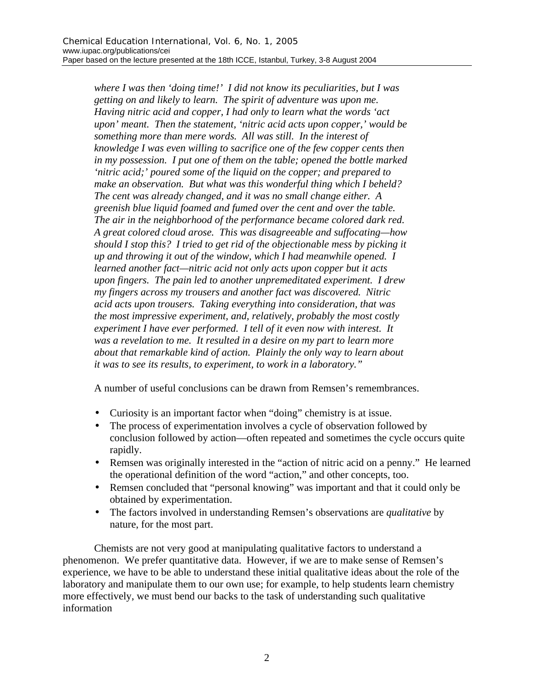*where I was then 'doing time!' I did not know its peculiarities, but I was getting on and likely to learn. The spirit of adventure was upon me. Having nitric acid and copper, I had only to learn what the words 'act upon' meant. Then the statement, 'nitric acid acts upon copper,' would be something more than mere words. All was still. In the interest of knowledge I was even willing to sacrifice one of the few copper cents then in my possession. I put one of them on the table; opened the bottle marked 'nitric acid;' poured some of the liquid on the copper; and prepared to make an observation. But what was this wonderful thing which I beheld? The cent was already changed, and it was no small change either. A greenish blue liquid foamed and fumed over the cent and over the table. The air in the neighborhood of the performance became colored dark red. A great colored cloud arose. This was disagreeable and suffocating—how should I stop this? I tried to get rid of the objectionable mess by picking it up and throwing it out of the window, which I had meanwhile opened. I learned another fact—nitric acid not only acts upon copper but it acts upon fingers. The pain led to another unpremeditated experiment. I drew my fingers across my trousers and another fact was discovered. Nitric acid acts upon trousers. Taking everything into consideration, that was the most impressive experiment, and, relatively, probably the most costly experiment I have ever performed. I tell of it even now with interest. It was a revelation to me. It resulted in a desire on my part to learn more about that remarkable kind of action. Plainly the only way to learn about it was to see its results, to experiment, to work in a laboratory."*

A number of useful conclusions can be drawn from Remsen's remembrances.

- Curiosity is an important factor when "doing" chemistry is at issue.
- The process of experimentation involves a cycle of observation followed by conclusion followed by action—often repeated and sometimes the cycle occurs quite rapidly.
- Remsen was originally interested in the "action of nitric acid on a penny." He learned the operational definition of the word "action," and other concepts, too.
- Remsen concluded that "personal knowing" was important and that it could only be obtained by experimentation.
- The factors involved in understanding Remsen's observations are *qualitative* by nature, for the most part.

Chemists are not very good at manipulating qualitative factors to understand a phenomenon. We prefer quantitative data. However, if we are to make sense of Remsen's experience, we have to be able to understand these initial qualitative ideas about the role of the laboratory and manipulate them to our own use; for example, to help students learn chemistry more effectively, we must bend our backs to the task of understanding such qualitative information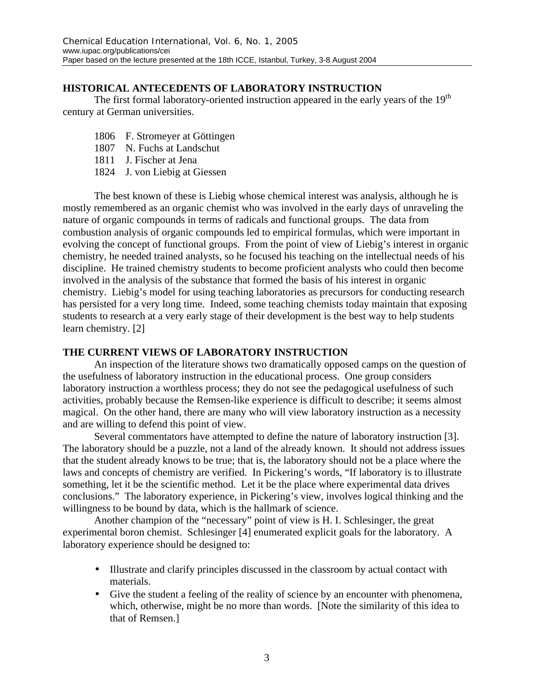# **HISTORICAL ANTECEDENTS OF LABORATORY INSTRUCTION**

The first formal laboratory-oriented instruction appeared in the early years of the  $19<sup>th</sup>$ century at German universities.

- 1806 F. Stromeyer at Göttingen
- 1807 N. Fuchs at Landschut
- 1811 J. Fischer at Jena
- 1824 J. von Liebig at Giessen

The best known of these is Liebig whose chemical interest was analysis, although he is mostly remembered as an organic chemist who was involved in the early days of unraveling the nature of organic compounds in terms of radicals and functional groups. The data from combustion analysis of organic compounds led to empirical formulas, which were important in evolving the concept of functional groups. From the point of view of Liebig's interest in organic chemistry, he needed trained analysts, so he focused his teaching on the intellectual needs of his discipline. He trained chemistry students to become proficient analysts who could then become involved in the analysis of the substance that formed the basis of his interest in organic chemistry. Liebig's model for using teaching laboratories as precursors for conducting research has persisted for a very long time. Indeed, some teaching chemists today maintain that exposing students to research at a very early stage of their development is the best way to help students learn chemistry. [2]

### **THE CURRENT VIEWS OF LABORATORY INSTRUCTION**

An inspection of the literature shows two dramatically opposed camps on the question of the usefulness of laboratory instruction in the educational process. One group considers laboratory instruction a worthless process; they do not see the pedagogical usefulness of such activities, probably because the Remsen-like experience is difficult to describe; it seems almost magical. On the other hand, there are many who will view laboratory instruction as a necessity and are willing to defend this point of view.

Several commentators have attempted to define the nature of laboratory instruction [3]. The laboratory should be a puzzle, not a land of the already known. It should not address issues that the student already knows to be true; that is, the laboratory should not be a place where the laws and concepts of chemistry are verified. In Pickering's words, "If laboratory is to illustrate something, let it be the scientific method. Let it be the place where experimental data drives conclusions." The laboratory experience, in Pickering's view, involves logical thinking and the willingness to be bound by data, which is the hallmark of science.

Another champion of the "necessary" point of view is H. I. Schlesinger, the great experimental boron chemist. Schlesinger [4] enumerated explicit goals for the laboratory. A laboratory experience should be designed to:

- Illustrate and clarify principles discussed in the classroom by actual contact with materials.
- Give the student a feeling of the reality of science by an encounter with phenomena, which, otherwise, might be no more than words. [Note the similarity of this idea to that of Remsen.]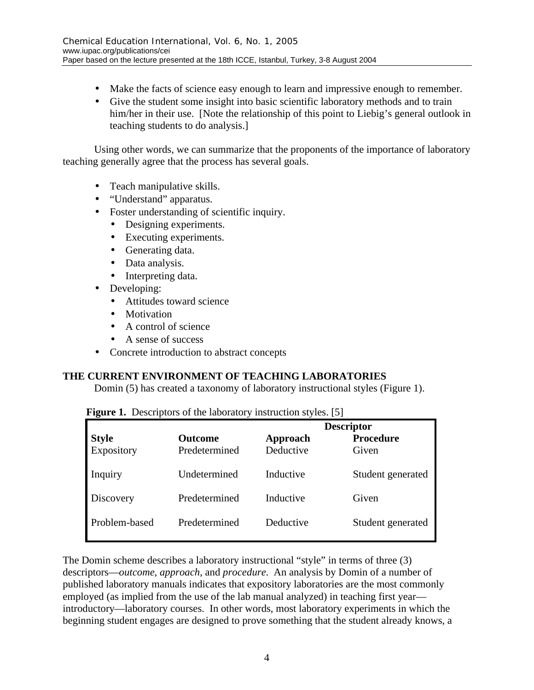- Make the facts of science easy enough to learn and impressive enough to remember.
- Give the student some insight into basic scientific laboratory methods and to train him/her in their use. [Note the relationship of this point to Liebig's general outlook in teaching students to do analysis.]

Using other words, we can summarize that the proponents of the importance of laboratory teaching generally agree that the process has several goals.

- Teach manipulative skills.
- "Understand" apparatus.
- Foster understanding of scientific inquiry.
	- Designing experiments.
	- Executing experiments.
	- Generating data.
	- Data analysis.
	- Interpreting data.
- Developing:
	- Attitudes toward science
	- Motivation
	- A control of science
	- A sense of success
- Concrete introduction to abstract concepts

# **THE CURRENT ENVIRONMENT OF TEACHING LABORATORIES**

Domin (5) has created a taxonomy of laboratory instructional styles (Figure 1).

|                            |                                 | <b>Descriptor</b>     |                           |
|----------------------------|---------------------------------|-----------------------|---------------------------|
| <b>Style</b><br>Expository | <b>Outcome</b><br>Predetermined | Approach<br>Deductive | <b>Procedure</b><br>Given |
| Inquiry                    | Undetermined                    | Inductive             | Student generated         |
| Discovery                  | Predetermined                   | Inductive             | Given                     |
| Problem-based              | Predetermined                   | Deductive             | Student generated         |

|  | Figure 1. Descriptors of the laboratory instruction styles. [5] |  |
|--|-----------------------------------------------------------------|--|
|  |                                                                 |  |

The Domin scheme describes a laboratory instructional "style" in terms of three (3) descriptors—*outcome*, *approach*, and *procedure*. An analysis by Domin of a number of published laboratory manuals indicates that expository laboratories are the most commonly employed (as implied from the use of the lab manual analyzed) in teaching first year introductory—laboratory courses. In other words, most laboratory experiments in which the beginning student engages are designed to prove something that the student already knows, a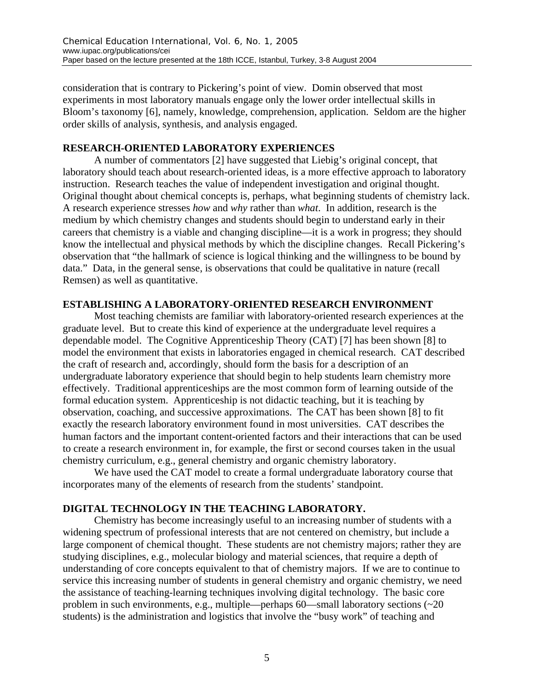consideration that is contrary to Pickering's point of view. Domin observed that most experiments in most laboratory manuals engage only the lower order intellectual skills in Bloom's taxonomy [6], namely, knowledge, comprehension, application. Seldom are the higher order skills of analysis, synthesis, and analysis engaged.

### **RESEARCH-ORIENTED LABORATORY EXPERIENCES**

A number of commentators [2] have suggested that Liebig's original concept, that laboratory should teach about research-oriented ideas, is a more effective approach to laboratory instruction. Research teaches the value of independent investigation and original thought. Original thought about chemical concepts is, perhaps, what beginning students of chemistry lack. A research experience stresses *how* and *why* rather than *what*. In addition, research is the medium by which chemistry changes and students should begin to understand early in their careers that chemistry is a viable and changing discipline—it is a work in progress; they should know the intellectual and physical methods by which the discipline changes. Recall Pickering's observation that "the hallmark of science is logical thinking and the willingness to be bound by data." Data, in the general sense, is observations that could be qualitative in nature (recall Remsen) as well as quantitative.

### **ESTABLISHING A LABORATORY-ORIENTED RESEARCH ENVIRONMENT**

Most teaching chemists are familiar with laboratory-oriented research experiences at the graduate level. But to create this kind of experience at the undergraduate level requires a dependable model. The Cognitive Apprenticeship Theory (CAT) [7] has been shown [8] to model the environment that exists in laboratories engaged in chemical research. CAT described the craft of research and, accordingly, should form the basis for a description of an undergraduate laboratory experience that should begin to help students learn chemistry more effectively. Traditional apprenticeships are the most common form of learning outside of the formal education system. Apprenticeship is not didactic teaching, but it is teaching by observation, coaching, and successive approximations. The CAT has been shown [8] to fit exactly the research laboratory environment found in most universities. CAT describes the human factors and the important content-oriented factors and their interactions that can be used to create a research environment in, for example, the first or second courses taken in the usual chemistry curriculum, e.g., general chemistry and organic chemistry laboratory.

We have used the CAT model to create a formal undergraduate laboratory course that incorporates many of the elements of research from the students' standpoint.

### **DIGITAL TECHNOLOGY IN THE TEACHING LABORATORY.**

Chemistry has become increasingly useful to an increasing number of students with a widening spectrum of professional interests that are not centered on chemistry, but include a large component of chemical thought. These students are not chemistry majors; rather they are studying disciplines, e.g., molecular biology and material sciences, that require a depth of understanding of core concepts equivalent to that of chemistry majors. If we are to continue to service this increasing number of students in general chemistry and organic chemistry, we need the assistance of teaching-learning techniques involving digital technology. The basic core problem in such environments, e.g., multiple—perhaps  $60$ —small laboratory sections ( $\sim$ 20 students) is the administration and logistics that involve the "busy work" of teaching and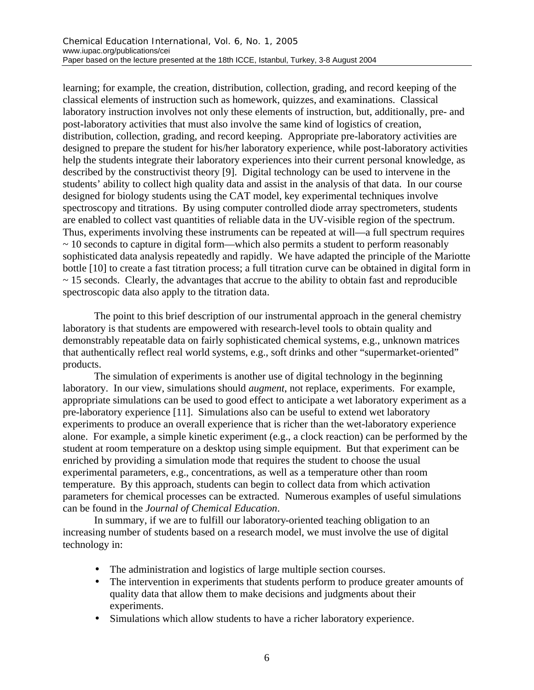learning; for example, the creation, distribution, collection, grading, and record keeping of the classical elements of instruction such as homework, quizzes, and examinations. Classical laboratory instruction involves not only these elements of instruction, but, additionally, pre- and post-laboratory activities that must also involve the same kind of logistics of creation, distribution, collection, grading, and record keeping. Appropriate pre-laboratory activities are designed to prepare the student for his/her laboratory experience, while post-laboratory activities help the students integrate their laboratory experiences into their current personal knowledge, as described by the constructivist theory [9]. Digital technology can be used to intervene in the students' ability to collect high quality data and assist in the analysis of that data. In our course designed for biology students using the CAT model, key experimental techniques involve spectroscopy and titrations. By using computer controlled diode array spectrometers, students are enabled to collect vast quantities of reliable data in the UV-visible region of the spectrum. Thus, experiments involving these instruments can be repeated at will—a full spectrum requires ~ 10 seconds to capture in digital form—which also permits a student to perform reasonably sophisticated data analysis repeatedly and rapidly. We have adapted the principle of the Mariotte bottle [10] to create a fast titration process; a full titration curve can be obtained in digital form in  $\sim$  15 seconds. Clearly, the advantages that accrue to the ability to obtain fast and reproducible spectroscopic data also apply to the titration data.

The point to this brief description of our instrumental approach in the general chemistry laboratory is that students are empowered with research-level tools to obtain quality and demonstrably repeatable data on fairly sophisticated chemical systems, e.g., unknown matrices that authentically reflect real world systems, e.g., soft drinks and other "supermarket-oriented" products.

The simulation of experiments is another use of digital technology in the beginning laboratory. In our view, simulations should *augment*, not replace, experiments. For example, appropriate simulations can be used to good effect to anticipate a wet laboratory experiment as a pre-laboratory experience [11]. Simulations also can be useful to extend wet laboratory experiments to produce an overall experience that is richer than the wet-laboratory experience alone. For example, a simple kinetic experiment (e.g., a clock reaction) can be performed by the student at room temperature on a desktop using simple equipment. But that experiment can be enriched by providing a simulation mode that requires the student to choose the usual experimental parameters, e.g., concentrations, as well as a temperature other than room temperature. By this approach, students can begin to collect data from which activation parameters for chemical processes can be extracted. Numerous examples of useful simulations can be found in the *Journal of Chemical Education*.

In summary, if we are to fulfill our laboratory-oriented teaching obligation to an increasing number of students based on a research model, we must involve the use of digital technology in:

- The administration and logistics of large multiple section courses.
- The intervention in experiments that students perform to produce greater amounts of quality data that allow them to make decisions and judgments about their experiments.
- Simulations which allow students to have a richer laboratory experience.